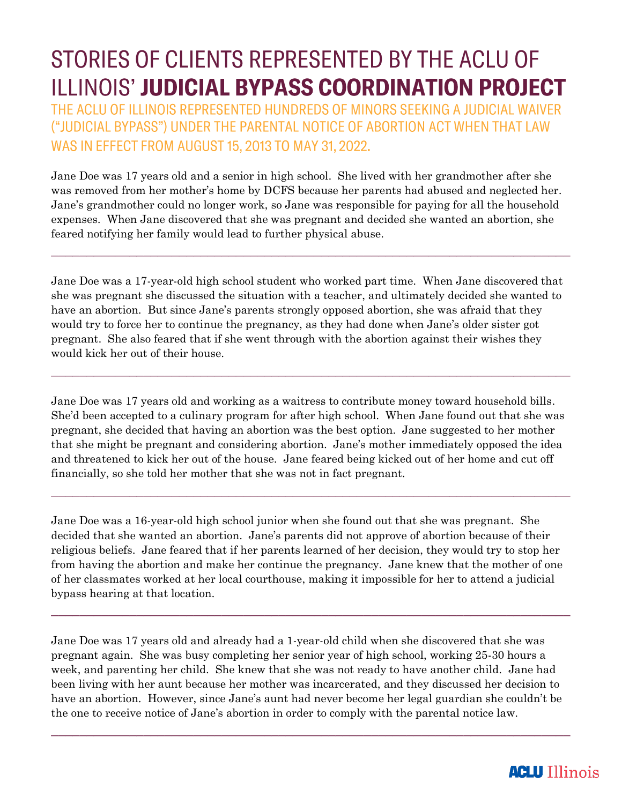## STORIES OF CLIENTS REPRESENTED BY THE ACLU OF ILLINOIS' JUDICIAL BYPASS COORDINATION PROJECT

THE ACLU OF ILLINOIS REPRESENTED HUNDREDS OF MINORS SEEKING A JUDICIAL WAIVER ("JUDICIAL BYPASS") UNDER THE PARENTAL NOTICE OF ABORTION ACT WHEN THAT LAW WAS IN EFFECT FROM AUGUST 15, 2013 TO MAY 31, 2022.

Jane Doe was 17 years old and a senior in high school. She lived with her grandmother after she was removed from her mother's home by DCFS because her parents had abused and neglected her. Jane's grandmother could no longer work, so Jane was responsible for paying for all the household expenses. When Jane discovered that she was pregnant and decided she wanted an abortion, she feared notifying her family would lead to further physical abuse.

 $\_$  , and the set of the set of the set of the set of the set of the set of the set of the set of the set of the set of the set of the set of the set of the set of the set of the set of the set of the set of the set of th

Jane Doe was a 17-year-old high school student who worked part time. When Jane discovered that she was pregnant she discussed the situation with a teacher, and ultimately decided she wanted to have an abortion. But since Jane's parents strongly opposed abortion, she was afraid that they would try to force her to continue the pregnancy, as they had done when Jane's older sister got pregnant. She also feared that if she went through with the abortion against their wishes they would kick her out of their house.

 $\_$  , and the set of the set of the set of the set of the set of the set of the set of the set of the set of the set of the set of the set of the set of the set of the set of the set of the set of the set of the set of th

Jane Doe was 17 years old and working as a waitress to contribute money toward household bills. She'd been accepted to a culinary program for after high school. When Jane found out that she was pregnant, she decided that having an abortion was the best option. Jane suggested to her mother that she might be pregnant and considering abortion. Jane's mother immediately opposed the idea and threatened to kick her out of the house. Jane feared being kicked out of her home and cut off financially, so she told her mother that she was not in fact pregnant.

 $\_$  , and the set of the set of the set of the set of the set of the set of the set of the set of the set of the set of the set of the set of the set of the set of the set of the set of the set of the set of the set of th

Jane Doe was a 16-year-old high school junior when she found out that she was pregnant. She decided that she wanted an abortion. Jane's parents did not approve of abortion because of their religious beliefs. Jane feared that if her parents learned of her decision, they would try to stop her from having the abortion and make her continue the pregnancy. Jane knew that the mother of one of her classmates worked at her local courthouse, making it impossible for her to attend a judicial bypass hearing at that location.

 $\_$  , and the contribution of the contribution of  $\mathcal{L}_\mathcal{A}$  , and the contribution of  $\mathcal{L}_\mathcal{A}$ 

Jane Doe was 17 years old and already had a 1-year-old child when she discovered that she was pregnant again. She was busy completing her senior year of high school, working 25-30 hours a week, and parenting her child. She knew that she was not ready to have another child. Jane had been living with her aunt because her mother was incarcerated, and they discussed her decision to have an abortion. However, since Jane's aunt had never become her legal guardian she couldn't be the one to receive notice of Jane's abortion in order to comply with the parental notice law.

 $\_$  , and the set of the set of the set of the set of the set of the set of the set of the set of the set of the set of the set of the set of the set of the set of the set of the set of the set of the set of the set of th